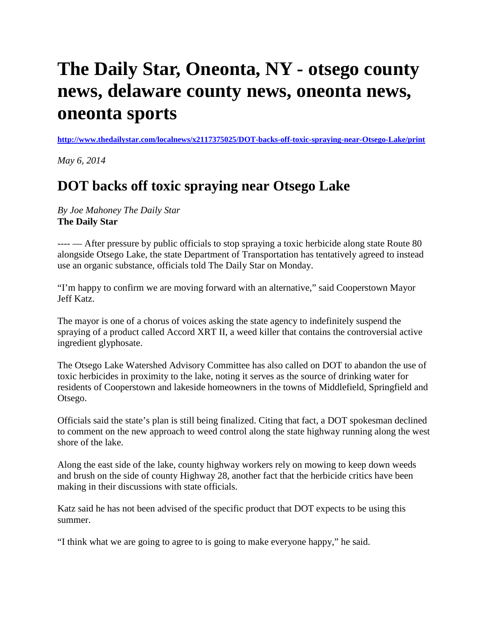## **The Daily Star, Oneonta, NY - otsego county news, delaware county news, oneonta news, oneonta sports**

**<http://www.thedailystar.com/localnews/x2117375025/DOT-backs-off-toxic-spraying-near-Otsego-Lake/print>**

*May 6, 2014*

## **DOT backs off toxic spraying near Otsego Lake**

*By Joe Mahoney The Daily Star* **The Daily Star**

---- — After pressure by public officials to stop spraying a toxic herbicide along state Route 80 alongside Otsego Lake, the state Department of Transportation has tentatively agreed to instead use an organic substance, officials told The Daily Star on Monday.

"I'm happy to confirm we are moving forward with an alternative," said Cooperstown Mayor Jeff Katz.

The mayor is one of a chorus of voices asking the state agency to indefinitely suspend the spraying of a product called Accord XRT II, a weed killer that contains the controversial active ingredient glyphosate.

The Otsego Lake Watershed Advisory Committee has also called on DOT to abandon the use of toxic herbicides in proximity to the lake, noting it serves as the source of drinking water for residents of Cooperstown and lakeside homeowners in the towns of Middlefield, Springfield and Otsego.

Officials said the state's plan is still being finalized. Citing that fact, a DOT spokesman declined to comment on the new approach to weed control along the state highway running along the west shore of the lake.

Along the east side of the lake, county highway workers rely on mowing to keep down weeds and brush on the side of county Highway 28, another fact that the herbicide critics have been making in their discussions with state officials.

Katz said he has not been advised of the specific product that DOT expects to be using this summer.

"I think what we are going to agree to is going to make everyone happy," he said.